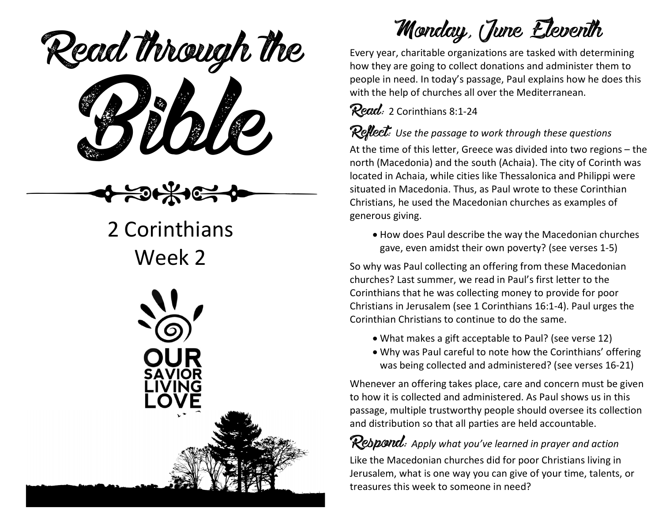eaa mough Read through the

## 2 Corinthians Week 2



Monday, June Eleventh

Every year, charitable organizations are tasked with determining how they are going to collect donations and administer them to people in need. In today's passage, Paul explains how he does this with the help of churches all over the Mediterranean.

 $Read: 2$  Corinthians 8:1-24

Reflect: *Use the passage to work through these questions*

At the time of this letter, Greece was divided into two regions – the north (Macedonia) and the south (Achaia). The city of Corinth was located in Achaia, while cities like Thessalonica and Philippi were situated in Macedonia. Thus, as Paul wrote to these Corinthian Christians, he used the Macedonian churches as examples of generous giving.

• How does Paul describe the way the Macedonian churches gave, even amidst their own poverty? (see verses 1-5)

So why was Paul collecting an offering from these Macedonian churches? Last summer, we read in Paul's first letter to the Corinthians that he was collecting money to provide for poor Christians in Jerusalem (see 1 Corinthians 16:1-4). Paul urges the Corinthian Christians to continue to do the same.

- What makes a gift acceptable to Paul? (see verse 12)
- Why was Paul careful to note how the Corinthians' offering was being collected and administered? (see verses 16-21)

Whenever an offering takes place, care and concern must be given to how it is collected and administered. As Paul shows us in this passage, multiple trustworthy people should oversee its collection and distribution so that all parties are held accountable.

Respond: *Apply what you've learned in prayer and action* Like the Macedonian churches did for poor Christians living in Jerusalem, what is one way you can give of your time, talents, or treasures this week to someone in need?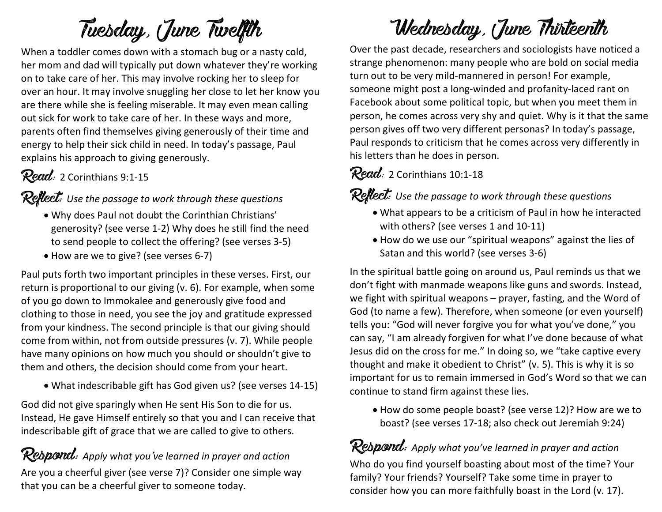# Tuesday, June Twelfth

When a toddler comes down with a stomach bug or a nasty cold, her mom and dad will typically put down whatever they're working on to take care of her. This may involve rocking her to sleep for over an hour. It may involve snuggling her close to let her know you are there while she is feeling miserable. It may even mean calling out sick for work to take care of her. In these ways and more, parents often find themselves giving generously of their time and energy to help their sick child in need. In today's passage, Paul explains his approach to giving generously.

#### Read: 2 Corinthians 9:1-15

## Reflect: *Use the passage to work through these questions*

- Why does Paul not doubt the Corinthian Christians' generosity? (see verse 1-2) Why does he still find the need to send people to collect the offering? (see verses 3-5)
- How are we to give? (see verses 6-7)

Paul puts forth two important principles in these verses. First, our return is proportional to our giving (v. 6). For example, when some of you go down to Immokalee and generously give food and clothing to those in need, you see the joy and gratitude expressed from your kindness. The second principle is that our giving should come from within, not from outside pressures (v. 7). While people have many opinions on how much you should or shouldn't give to them and others, the decision should come from your heart.

• What indescribable gift has God given us? (see verses 14-15)

God did not give sparingly when He sent His Son to die for us. Instead, He gave Himself entirely so that you and I can receive that indescribable gift of grace that we are called to give to others.

#### Respond: *Apply what you've learned in prayer and action* Are you a cheerful giver (see verse 7)? Consider one simple way that you can be a cheerful giver to someone today.

## Wednesday, June Thirteenth

Over the past decade, researchers and sociologists have noticed a strange phenomenon: many people who are bold on social media turn out to be very mild-mannered in person! For example, someone might post a long-winded and profanity-laced rant on Facebook about some political topic, but when you meet them in person, he comes across very shy and quiet. Why is it that the same person gives off two very different personas? In today's passage, Paul responds to criticism that he comes across very differently in his letters than he does in person.

 $Read: 2$  Corinthians 10:1-18

Reflect: Use the passage to work through these questions

- What appears to be a criticism of Paul in how he interacted with others? (see verses 1 and 10-11)
- How do we use our "spiritual weapons" against the lies of Satan and this world? (see verses 3-6)

In the spiritual battle going on around us, Paul reminds us that we don't fight with manmade weapons like guns and swords. Instead, we fight with spiritual weapons – prayer, fasting, and the Word of God (to name a few). Therefore, when someone (or even yourself) tells you: "God will never forgive you for what you've done," you can say, "I am already forgiven for what I've done because of what Jesus did on the cross for me." In doing so, we "take captive every thought and make it obedient to Christ" (v. 5). This is why it is so important for us to remain immersed in God's Word so that we can continue to stand firm against these lies.

• How do some people boast? (see verse 12)? How are we to boast? (see verses 17-18; also check out Jeremiah 9:24)

Respond: *Apply what you've learned in prayer and action* Who do you find yourself boasting about most of the time? Your family? Your friends? Yourself? Take some time in prayer to consider how you can more faithfully boast in the Lord (v. 17).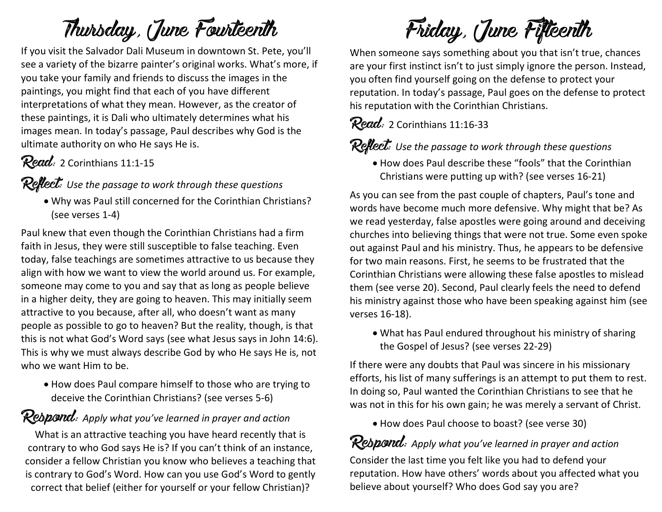## Thursday, June Fourteenth

If you visit the Salvador Dali Museum in downtown St. Pete, you'll see a variety of the bizarre painter's original works. What's more, if you take your family and friends to discuss the images in the paintings, you might find that each of you have different interpretations of what they mean. However, as the creator of these paintings, it is Dali who ultimately determines what his images mean. In today's passage, Paul describes why God is the ultimate authority on who He says He is.

### Read: 2 Corinthians 11:1-15

#### Reflect: *Use the passage to work through these questions*

• Why was Paul still concerned for the Corinthian Christians? (see verses 1-4)

Paul knew that even though the Corinthian Christians had a firm faith in Jesus, they were still susceptible to false teaching. Even today, false teachings are sometimes attractive to us because they align with how we want to view the world around us. For example, someone may come to you and say that as long as people believe in a higher deity, they are going to heaven. This may initially seem attractive to you because, after all, who doesn't want as many people as possible to go to heaven? But the reality, though, is that this is not what God's Word says (see what Jesus says in John 14:6). This is why we must always describe God by who He says He is, not who we want Him to be.

• How does Paul compare himself to those who are trying to deceive the Corinthian Christians? (see verses 5-6)

## Respond: *Apply what you've learned in prayer and action*

What is an attractive teaching you have heard recently that is contrary to who God says He is? If you can't think of an instance, consider a fellow Christian you know who believes a teaching that is contrary to God's Word. How can you use God's Word to gently correct that belief (either for yourself or your fellow Christian)?

Friday, June Fifteenth

When someone says something about you that isn't true, chances are your first instinct isn't to just simply ignore the person. Instead, you often find yourself going on the defense to protect your reputation. In today's passage, Paul goes on the defense to protect his reputation with the Corinthian Christians.

## $Read: 2$  Corinthians 11:16-33

### Reflect: *Use the passage to work through these questions*

• How does Paul describe these "fools" that the Corinthian Christians were putting up with? (see verses 16-21)

As you can see from the past couple of chapters, Paul's tone and words have become much more defensive. Why might that be? As we read yesterday, false apostles were going around and deceiving churches into believing things that were not true. Some even spoke out against Paul and his ministry. Thus, he appears to be defensive for two main reasons. First, he seems to be frustrated that the Corinthian Christians were allowing these false apostles to mislead them (see verse 20). Second, Paul clearly feels the need to defend his ministry against those who have been speaking against him (see verses 16-18).

• What has Paul endured throughout his ministry of sharing the Gospel of Jesus? (see verses 22-29)

If there were any doubts that Paul was sincere in his missionary efforts, his list of many sufferings is an attempt to put them to rest. In doing so, Paul wanted the Corinthian Christians to see that he was not in this for his own gain; he was merely a servant of Christ.

• How does Paul choose to boast? (see verse 30)

## Respond: *Apply what you've learned in prayer and action*

Consider the last time you felt like you had to defend your reputation. How have others' words about you affected what you believe about yourself? Who does God say you are?